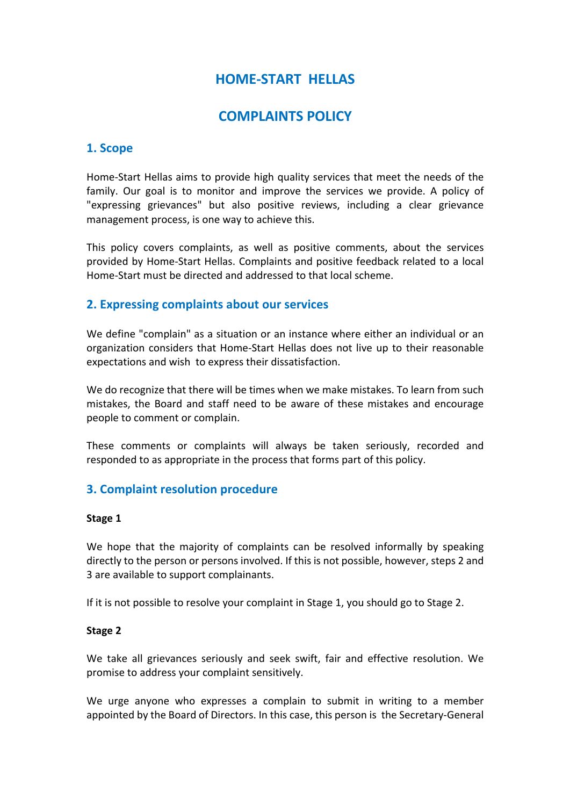# **HOME-START ΗELLAS**

## **COMPLAINTS POLICY**

### **1. Scope**

Home-Start Hellas aims to provide high quality services that meet the needs of the family. Our goal is to monitor and improve the services we provide. A policy of "expressing grievances" but also positive reviews, including a clear grievance management process, is one way to achieve this.

This policy covers complaints, as well as positive comments, about the services provided by Home-Start Hellas. Complaints and positive feedback related to a local Home-Start must be directed and addressed to that local scheme.

#### **2. Expressing complaints about our services**

We define "complain" as a situation or an instance where either an individual or an organization considers that Home-Start Hellas does not live up to their reasonable expectations and wish to express their dissatisfaction.

We do recognize that there will be times when we make mistakes. To learn from such mistakes, the Board and staff need to be aware of these mistakes and encourage people to comment or complain.

These comments or complaints will always be taken seriously, recorded and responded to as appropriate in the process that forms part of this policy.

## **3. Complaint resolution procedure**

#### **Stage 1**

We hope that the majority of complaints can be resolved informally by speaking directly to the person or persons involved. If this is not possible, however, steps 2 and 3 are available to support complainants.

If it is not possible to resolve your complaint in Stage 1, you should go to Stage 2.

#### **Stage 2**

We take all grievances seriously and seek swift, fair and effective resolution. We promise to address your complaint sensitively.

We urge anyone who expresses a complain to submit in writing to a member appointed by the Board of Directors. In this case, this person is the Secretary-General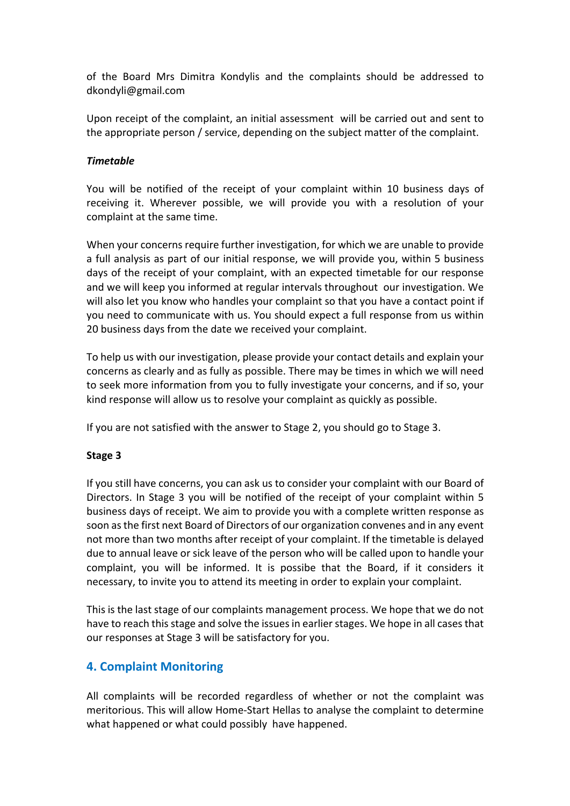of the Board Mrs Dimitra Kondylis and the complaints should be addressed to dkondyli@gmail.com

Upon receipt of the complaint, an initial assessment will be carried out and sent to the appropriate person / service, depending on the subject matter of the complaint.

#### *Timetable*

You will be notified of the receipt of your complaint within 10 business days of receiving it. Wherever possible, we will provide you with a resolution of your complaint at the same time.

When your concerns require further investigation, for which we are unable to provide a full analysis as part of our initial response, we will provide you, within 5 business days of the receipt of your complaint, with an expected timetable for our response and we will keep you informed at regular intervals throughout our investigation. We will also let you know who handles your complaint so that you have a contact point if you need to communicate with us. You should expect a full response from us within 20 business days from the date we received your complaint.

To help us with our investigation, please provide your contact details and explain your concerns as clearly and as fully as possible. There may be times in which we will need to seek more information from you to fully investigate your concerns, and if so, your kind response will allow us to resolve your complaint as quickly as possible.

If you are not satisfied with the answer to Stage 2, you should go to Stage 3.

#### **Stage 3**

If you still have concerns, you can ask us to consider your complaint with our Board of Directors. In Stage 3 you will be notified of the receipt of your complaint within 5 business days of receipt. We aim to provide you with a complete written response as soon as the first next Board of Directors of our organization convenes and in any event not more than two months after receipt of your complaint. If the timetable is delayed due to annual leave or sick leave of the person who will be called upon to handle your complaint, you will be informed. It is possibe that the Board, if it considers it necessary, to invite you to attend its meeting in order to explain your complaint.

This is the last stage of our complaints management process. We hope that we do not have to reach this stage and solve the issues in earlier stages. We hope in all cases that our responses at Stage 3 will be satisfactory for you.

## **4. Complaint Monitoring**

All complaints will be recorded regardless of whether or not the complaint was meritorious. This will allow Home-Start Hellas to analyse the complaint to determine what happened or what could possibly have happened.